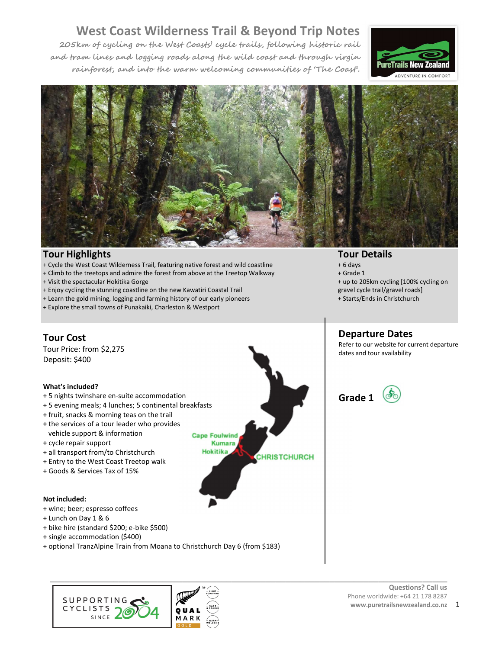**205km of cycling on the West Coasts' cycle trails, following historic rail and tram lines and logging roads along the wild coast and through virgin rainforest, and into the warm welcoming communities of 'The Coast'.** 





**\_\_\_\_\_\_\_\_\_\_\_\_\_\_\_\_\_\_\_\_\_\_\_\_\_\_\_\_\_\_\_\_\_\_\_\_\_\_\_\_\_\_\_\_\_\_\_\_\_\_\_\_\_\_\_\_\_\_\_\_\_\_\_\_\_\_\_\_\_\_\_\_\_\_\_\_\_\_\_\_\_** 

**CHRISTCHURCH** 

**Cape Foulwind Kumara Hokitika** 

#### **Tour Highlights**

- + Cycle the West Coast Wilderness Trail, featuring native forest and wild coastline
- + Climb to the treetops and admire the forest from above at the Treetop Walkway
- + Visit the spectacular Hokitika Gorge
- + Enjoy cycling the stunning coastline on the new Kawatiri Coastal Trail
- + Learn the gold mining, logging and farming history of our early pioneers
- + Explore the small towns of Punakaiki, Charleston & Westport

### **Tour Cost**

Tour Price: from \$2,275 Deposit: \$400

#### **What's included?**

- + 5 nights twinshare en-suite accommodation
- + 5 evening meals; 4 lunches; 5 continental breakfasts
- + fruit, snacks & morning teas on the trail
- + the services of a tour leader who provides vehicle support & information
- 
- + cycle repair support
- + all transport from/to Christchurch
- + Entry to the West Coast Treetop walk
- + Goods & Services Tax of 15%

#### **Not included:**

- + wine; beer; espresso coffees
- + Lunch on Day 1 & 6
- + bike hire (standard \$200; e-bike \$500)
- + single accommodation (\$400)
- + optional TranzAlpine Train from Moana to Christchurch Day 6 (from \$183)



#### **Tour Details**

- + 6 days
- + Grade 1
- + up to 205km cycling [100% cycling on
- gravel cycle trail/gravel roads]
- + Starts/Ends in Christchurch

### **Departure Dates**

Refer to our website for current departure dates and tour availability



### **Questions? Call us www.puretrailsnewzealand.co.nz** 1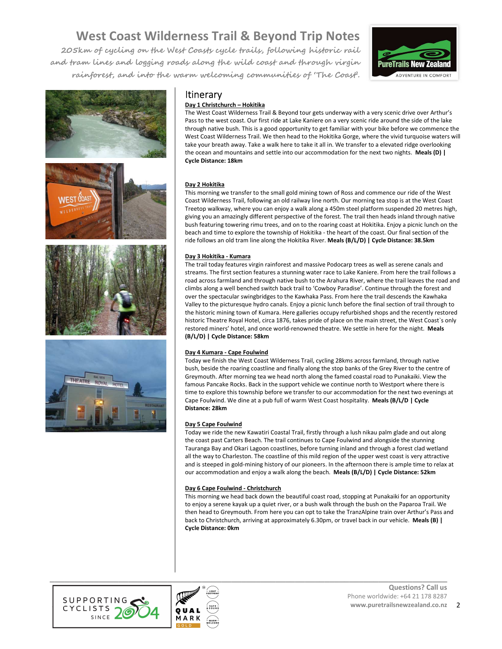**205km of cycling on the West Coasts cycle trails, following historic rail and tram lines and logging roads along the wild coast and through virgin rainforest, and into the warm welcoming communities of 'The Coast'.** 





### Itinerary

#### **Day 1 Christchurch – Hokitika**

The West Coast Wilderness Trail & Beyond tour gets underway with a very scenic drive over Arthur's Pass to the west coast. Our first ride at Lake Kaniere on a very scenic ride around the side of the lake through native bush. This is a good opportunity to get familiar with your bike before we commence the West Coast Wilderness Trail. We then head to the Hokitika Gorge, where the vivid turquoise waters will take your breath away. Take a walk here to take it all in. We transfer to a elevated ridge overlooking the ocean and mountains and settle into our accommodation for the next two nights. **Meals (D) | Cycle Distance: 18km** 

#### **Day 2 Hokitika**

This morning we transfer to the small gold mining town of Ross and commence our ride of the West Coast Wilderness Trail, following an old railway line north. Our morning tea stop is at the West Coast Treetop walkway, where you can enjoy a walk along a 450m steel platform suspended 20 metres high, giving you an amazingly different perspective of the forest. The trail then heads inland through native bush featuring towering rimu trees, and on to the roaring coast at Hokitika. Enjoy a picnic lunch on the beach and time to explore the township of Hokitika - the heart of the coast. Our final section of the ride follows an old tram line along the Hokitika River. **Meals (B/L/D) | Cycle Distance: 38.5km**

#### **Day 3 Hokitika - Kumara**

The trail today features virgin rainforest and massive Podocarp trees as well as serene canals and streams. The first section features a stunning water race to Lake Kaniere. From here the trail follows a road across farmland and through native bush to the Arahura River, where the trail leaves the road and climbs along a well benched switch back trail to 'Cowboy Paradise'. Continue through the forest and over the spectacular swingbridges to the Kawhaka Pass. From here the trail descends the Kawhaka Valley to the picturesque hydro canals. Enjoy a picnic lunch before the final section of trail through to the historic mining town of Kumara. Here galleries occupy refurbished shops and the recently restored historic Theatre Royal Hotel, circa 1876, takes pride of place on the main street, the West Coast`s only restored miners' hotel, and once world-renowned theatre. We settle in here for the night. **Meals (B/L/D) | Cycle Distance: 58km**

#### **Day 4 Kumara - Cape Foulwind**

Today we finish the West Coast Wilderness Trail, cycling 28kms across farmland, through native bush, beside the roaring coastline and finally along the stop banks of the Grey River to the centre of Greymouth. After morning tea we head north along the famed coastal road to Punakaiki. View the famous Pancake Rocks. Back in the support vehicle we continue north to Westport where there is time to explore this township before we transfer to our accommodation for the next two evenings at Cape Foulwind. We dine at a pub full of warm West Coast hospitality. **Meals (B/L/D | Cycle Distance: 28km** 

#### **Day 5 Cape Foulwind**

Today we ride the new Kawatiri Coastal Trail, firstly through a lush nikau palm glade and out along the coast past Carters Beach. The trail continues to Cape Foulwind and alongside the stunning Tauranga Bay and Okari Lagoon coastlines, before turning inland and through a forest clad wetland all the way to Charleston. The coastline of this mild region of the upper west coast is very attractive and is steeped in gold-mining history of our pioneers. In the afternoon there is ample time to relax at our accommodation and enjoy a walk along the beach. **Meals (B/L/D) | Cycle Distance: 52km** 

#### **Day 6 Cape Foulwind - Christchurch**

**\_\_\_\_\_\_\_\_\_\_\_\_\_\_\_\_\_\_\_\_\_\_\_\_\_\_\_\_\_\_\_\_\_\_\_\_\_\_\_\_\_\_\_\_\_\_\_\_\_\_\_\_\_\_\_\_\_\_\_\_\_\_\_\_\_\_\_\_\_\_\_\_\_\_\_\_\_\_\_\_\_** 

This morning we head back down the beautiful coast road, stopping at Punakaiki for an opportunity to enjoy a serene kayak up a quiet river, or a bush walk through the bush on the Paparoa Trail. We then head to Greymouth. From here you can opt to take the TranzAlpine train over Arthur's Pass and back to Christchurch, arriving at approximately 6.30pm, or travel back in our vehicle. **Meals (B) | Cycle Distance: 0km** 



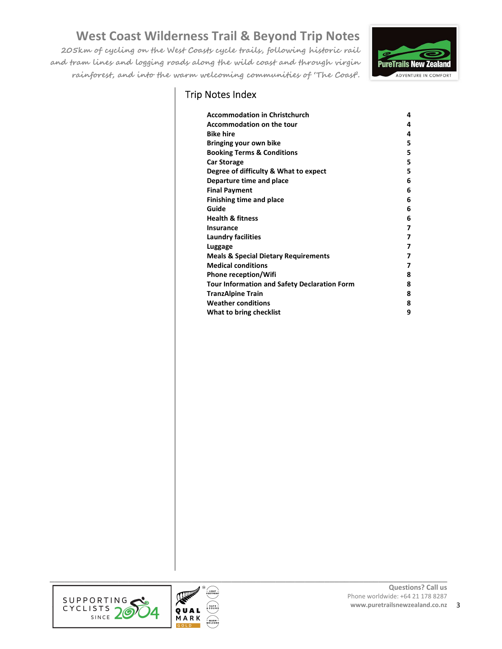Trip Notes Index

**205km of cycling on the West Coasts cycle trails, following historic rail and tram lines and logging roads along the wild coast and through virgin rainforest, and into the warm welcoming communities of 'The Coast'.** 



| <b>Accommodation in Christchurch</b>                | 4 |
|-----------------------------------------------------|---|
| <b>Accommodation on the tour</b>                    | 4 |
| <b>Bike hire</b>                                    | 4 |
| Bringing your own bike                              | 5 |
| <b>Booking Terms &amp; Conditions</b>               | 5 |
| <b>Car Storage</b>                                  | 5 |
| Degree of difficulty & What to expect               | 5 |
| Departure time and place                            | 6 |
| <b>Final Payment</b>                                | 6 |
| <b>Finishing time and place</b>                     | 6 |
| Guide                                               | 6 |
| <b>Health &amp; fitness</b>                         | 6 |
| Insurance                                           | 7 |
| <b>Laundry facilities</b>                           | 7 |
| Luggage                                             | 7 |
| <b>Meals &amp; Special Dietary Requirements</b>     | 7 |
| <b>Medical conditions</b>                           | 7 |
| <b>Phone reception/Wifi</b>                         | 8 |
| <b>Tour Information and Safety Declaration Form</b> | 8 |
| <b>TranzAlpine Train</b>                            | 8 |
| <b>Weather conditions</b>                           | 8 |
| What to bring checklist                             | 9 |



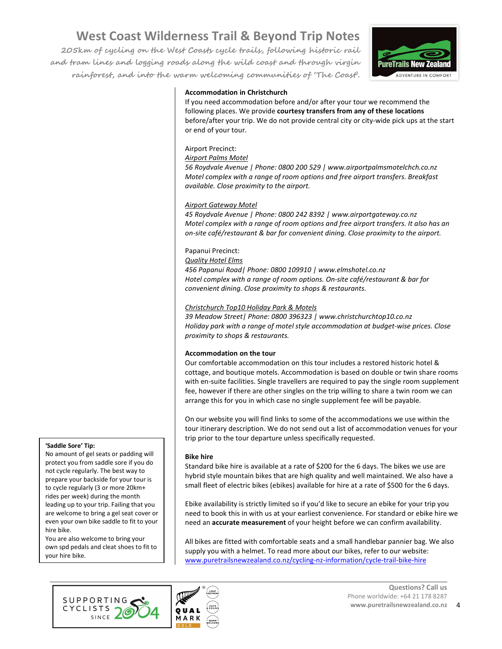**205km of cycling on the West Coasts cycle trails, following historic rail and tram lines and logging roads along the wild coast and through virgin rainforest, and into the warm welcoming communities of 'The Coast'.** 



#### **Accommodation in Christchurch**

If you need accommodation before and/or after your tour we recommend the following places. We provide **courtesy transfers from any of these locations** before/after your trip. We do not provide central city or city-wide pick ups at the start or end of your tour.

#### Airport Precinct:

*Airport Palms Motel* 

*56 Roydvale Avenue | Phone: 0800 200 529 | www.airportpalmsmotelchch.co.nz Motel complex with a range of room options and free airport transfers. Breakfast available. Close proximity to the airport.* 

#### *Airport Gateway Motel*

*45 Roydvale Avenue | Phone: 0800 242 8392 | www.airportgateway.co.nz Motel complex with a range of room options and free airport transfers. It also has an on-site café/restaurant & bar for convenient dining. Close proximity to the airport.* 

#### Papanui Precinct:

*Quality Hotel Elms* 

*456 Papanui Road| Phone: 0800 109910 | www.elmshotel.co.nz Hotel complex with a range of room options. On-site café/restaurant & bar for convenient dining. Close proximity to shops & restaurants.* 

#### *Christchurch Top10 Holiday Park & Motels*

*39 Meadow Street| Phone: 0800 396323 | www.christchurchtop10.co.nz Holiday park with a range of motel style accommodation at budget-wise prices. Close proximity to shops & restaurants.* 

#### **Accommodation on the tour**

Our comfortable accommodation on this tour includes a restored historic hotel & cottage, and boutique motels. Accommodation is based on double or twin share rooms with en-suite facilities. Single travellers are required to pay the single room supplement fee, however if there are other singles on the trip willing to share a twin room we can arrange this for you in which case no single supplement fee will be payable.

On our website you will find links to some of the accommodations we use within the tour itinerary description. We do not send out a list of accommodation venues for your trip prior to the tour departure unless specifically requested.

#### **Bike hire**

Standard bike hire is available at a rate of \$200 for the 6 days. The bikes we use are hybrid style mountain bikes that are high quality and well maintained. We also have a small fleet of electric bikes (ebikes) available for hire at a rate of \$500 for the 6 days.

Ebike availability is strictly limited so if you'd like to secure an ebike for your trip you need to book this in with us at your earliest convenience. For standard or ebike hire we need an **accurate measurement** of your height before we can confirm availability.

All bikes are fitted with comfortable seats and a small handlebar pannier bag. We also supply you with a helmet. To read more about our bikes, refer to our website: www.puretrailsnewzealand.co.nz/cycling-nz-information/cycle-trail-bike-hire





### **'Saddle Sore' Tip:**

No amount of gel seats or padding will protect you from saddle sore if you do not cycle regularly. The best way to prepare your backside for your tour is to cycle regularly (3 or more 20km+ rides per week) during the month leading up to your trip. Failing that you are welcome to bring a gel seat cover or even your own bike saddle to fit to your hire bike.

You are also welcome to bring your own spd pedals and cleat shoes to fit to your hire bike.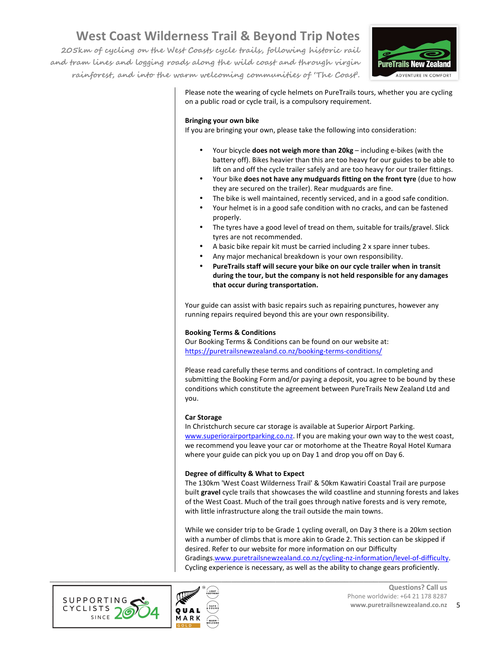**205km of cycling on the West Coasts cycle trails, following historic rail and tram lines and logging roads along the wild coast and through virgin rainforest, and into the warm welcoming communities of 'The Coast'.** 



Please note the wearing of cycle helmets on PureTrails tours, whether you are cycling on a public road or cycle trail, is a compulsory requirement.

#### **Bringing your own bike**

If you are bringing your own, please take the following into consideration:

- Your bicycle **does not weigh more than 20kg** including e-bikes (with the battery off). Bikes heavier than this are too heavy for our guides to be able to lift on and off the cycle trailer safely and are too heavy for our trailer fittings.
- Your bike **does not have any mudguards fitting on the front tyre** (due to how they are secured on the trailer). Rear mudguards are fine.
	- The bike is well maintained, recently serviced, and in a good safe condition.
- Your helmet is in a good safe condition with no cracks, and can be fastened properly.
- The tyres have a good level of tread on them, suitable for trails/gravel. Slick tyres are not recommended.
- A basic bike repair kit must be carried including 2 x spare inner tubes.
- Any major mechanical breakdown is your own responsibility.
- **PureTrails staff will secure your bike on our cycle trailer when in transit during the tour, but the company is not held responsible for any damages that occur during transportation.**

Your guide can assist with basic repairs such as repairing punctures, however any running repairs required beyond this are your own responsibility.

#### **Booking Terms & Conditions**

Our Booking Terms & Conditions can be found on our website at: https://puretrailsnewzealand.co.nz/booking-terms-conditions/

Please read carefully these terms and conditions of contract. In completing and submitting the Booking Form and/or paying a deposit, you agree to be bound by these conditions which constitute the agreement between PureTrails New Zealand Ltd and you.

#### **Car Storage**

In Christchurch secure car storage is available at Superior Airport Parking. www.superiorairportparking.co.nz. If you are making your own way to the west coast, we recommend you leave your car or motorhome at the Theatre Royal Hotel Kumara where your guide can pick you up on Day 1 and drop you off on Day 6.

#### **Degree of difficulty & What to Expect**

The 130km 'West Coast Wilderness Trail' & 50km Kawatiri Coastal Trail are purpose built **gravel** cycle trails that showcases the wild coastline and stunning forests and lakes of the West Coast. Much of the trail goes through native forests and is very remote, with little infrastructure along the trail outside the main towns.

While we consider trip to be Grade 1 cycling overall, on Day 3 there is a 20km section with a number of climbs that is more akin to Grade 2. This section can be skipped if desired. Refer to our website for more information on our Difficulty Gradings.www.puretrailsnewzealand.co.nz/cycling-nz-information/level-of-difficulty. Cycling experience is necessary, as well as the ability to change gears proficiently.



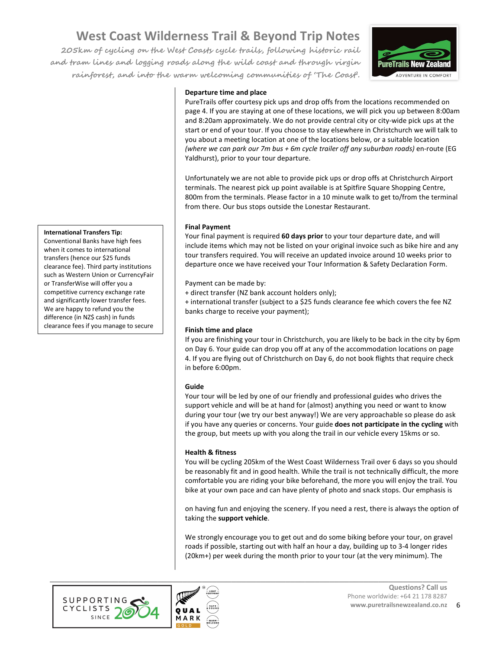**205km of cycling on the West Coasts cycle trails, following historic rail and tram lines and logging roads along the wild coast and through virgin rainforest, and into the warm welcoming communities of 'The Coast'.** 



#### **Departure time and place**

PureTrails offer courtesy pick ups and drop offs from the locations recommended on page 4. If you are staying at one of these locations, we will pick you up between 8:00am and 8:20am approximately. We do not provide central city or city-wide pick ups at the start or end of your tour. If you choose to stay elsewhere in Christchurch we will talk to you about a meeting location at one of the locations below, or a suitable location *(where we can park our 7m bus + 6m cycle trailer off any suburban roads)* en-route (EG Yaldhurst), prior to your tour departure.

Unfortunately we are not able to provide pick ups or drop offs at Christchurch Airport terminals. The nearest pick up point available is at Spitfire Square Shopping Centre, 800m from the terminals. Please factor in a 10 minute walk to get to/from the terminal from there. Our bus stops outside the Lonestar Restaurant.

#### **Final Payment**

Your final payment is required **60 days prior** to your tour departure date, and will include items which may not be listed on your original invoice such as bike hire and any tour transfers required. You will receive an updated invoice around 10 weeks prior to departure once we have received your Tour Information & Safety Declaration Form.

Payment can be made by:

+ direct transfer (NZ bank account holders only);

+ international transfer (subject to a \$25 funds clearance fee which covers the fee NZ banks charge to receive your payment);

#### **Finish time and place**

If you are finishing your tour in Christchurch, you are likely to be back in the city by 6pm on Day 6. Your guide can drop you off at any of the accommodation locations on page 4. If you are flying out of Christchurch on Day 6, do not book flights that require check in before 6:00pm.

#### **Guide**

Your tour will be led by one of our friendly and professional guides who drives the support vehicle and will be at hand for (almost) anything you need or want to know during your tour (we try our best anyway!) We are very approachable so please do ask if you have any queries or concerns. Your guide **does not participate in the cycling** with the group, but meets up with you along the trail in our vehicle every 15kms or so.

#### **Health & fitness**

You will be cycling 205km of the West Coast Wilderness Trail over 6 days so you should be reasonably fit and in good health. While the trail is not technically difficult, the more comfortable you are riding your bike beforehand, the more you will enjoy the trail. You bike at your own pace and can have plenty of photo and snack stops. Our emphasis is

on having fun and enjoying the scenery. If you need a rest, there is always the option of taking the **support vehicle**.

We strongly encourage you to get out and do some biking before your tour, on gravel roads if possible, starting out with half an hour a day, building up to 3-4 longer rides (20km+) per week during the month prior to your tour (at the very minimum). The





#### **International Transfers Tip:**

a better rate.

Conventional Banks have high fees when it comes to international transfers (hence our \$25 funds clearance fee). Third party institutions such as Western Union or CurrencyFair or TransferWise will offer you a competitive currency exchange rate and significantly lower transfer fees. We are happy to refund you the difference (in NZ\$ cash) in funds clearance fees if you manage to secure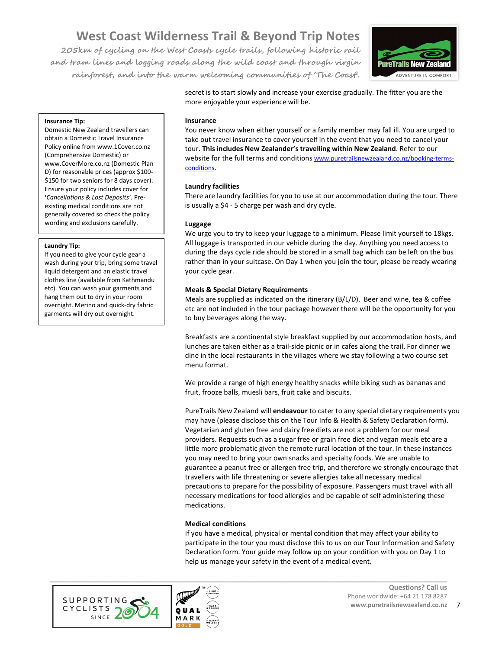**205km of cycling on the West Coasts cycle trails, following historic rail and tram lines and logging roads along the wild coast and through virgin rainforest, and into the warm welcoming communities of 'The Coast'.** 



#### **Insurance Tip:**

Domestic New Zealand travellers can obtain a Domestic Travel Insurance Policy online from www.1Cover.co.nz (Comprehensive Domestic) or www.CoverMore.co.nz (Domestic Plan D) for reasonable prices (approx \$100- \$150 for two seniors for 8 days cover). Ensure your policy includes cover for **'***Cancellations & Lost Deposits'.* Preexisting medical conditions are not generally covered so check the policy wording and exclusions carefully.

#### **Laundry Tip:**

If you need to give your cycle gear a wash during your trip, bring some travel liquid detergent and an elastic travel clothes line (available from Kathmandu etc). You can wash your garments and hang them out to dry in your room overnight. Merino and quick-dry fabric garments will dry out overnight.

secret is to start slowly and increase your exercise gradually. The fitter you are the more enjoyable your experience will be.

#### **Insurance**

You never know when either yourself or a family member may fall ill. You are urged to take out travel insurance to cover yourself in the event that you need to cancel your tour. **This includes New Zealander's travelling within New Zealand**. Refer to our website for the full terms and conditions www.puretrailsnewzealand.co.nz/booking-termsconditions.

#### **Laundry facilities**

There are laundry facilities for you to use at our accommodation during the tour. There is usually a \$4 - 5 charge per wash and dry cycle.

#### **Luggage**

We urge you to try to keep your luggage to a minimum. Please limit yourself to 18kgs. All luggage is transported in our vehicle during the day. Anything you need access to during the days cycle ride should be stored in a small bag which can be left on the bus rather than in your suitcase. On Day 1 when you join the tour, please be ready wearing your cycle gear.

#### **Meals & Special Dietary Requirements**

Meals are supplied as indicated on the itinerary (B/L/D). Beer and wine, tea & coffee etc are not included in the tour package however there will be the opportunity for you to buy beverages along the way.

Breakfasts are a continental style breakfast supplied by our accommodation hosts, and lunches are taken either as a trail-side picnic or in cafes along the trail. For dinner we dine in the local restaurants in the villages where we stay following a two course set menu format.

We provide a range of high energy healthy snacks while biking such as bananas and fruit, frooze balls, muesli bars, fruit cake and biscuits.

PureTrails New Zealand will **endeavour** to cater to any special dietary requirements you may have (please disclose this on the Tour Info & Health & Safety Declaration form). Vegetarian and gluten free and dairy free diets are not a problem for our meal providers. Requests such as a sugar free or grain free diet and vegan meals etc are a little more problematic given the remote rural location of the tour. In these instances you may need to bring your own snacks and specialty foods. We are unable to guarantee a peanut free or allergen free trip, and therefore we strongly encourage that travellers with life threatening or severe allergies take all necessary medical precautions to prepare for the possibility of exposure. Passengers must travel with all necessary medications for food allergies and be capable of self administering these medications.

#### **Medical conditions**

If you have a medical, physical or mental condition that may affect your ability to participate in the tour you must disclose this to us on our Tour Information and Safety Declaration form. Your guide may follow up on your condition with you on Day 1 to help us manage your safety in the event of a medical event.



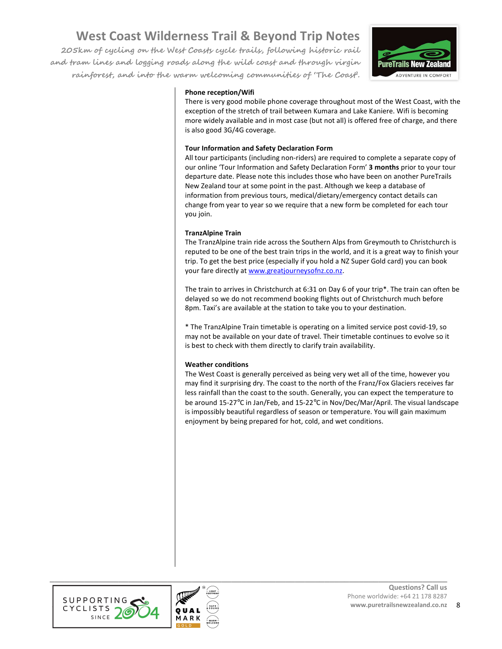**205km of cycling on the West Coasts cycle trails, following historic rail and tram lines and logging roads along the wild coast and through virgin rainforest, and into the warm welcoming communities of 'The Coast'.** 



#### **Phone reception/Wifi**

There is very good mobile phone coverage throughout most of the West Coast, with the exception of the stretch of trail between Kumara and Lake Kaniere. Wifi is becoming more widely available and in most case (but not all) is offered free of charge, and there is also good 3G/4G coverage.

#### **Tour Information and Safety Declaration Form**

All tour participants (including non-riders) are required to complete a separate copy of our online 'Tour Information and Safety Declaration Form' **3 months** prior to your tour departure date. Please note this includes those who have been on another PureTrails New Zealand tour at some point in the past. Although we keep a database of information from previous tours, medical/dietary/emergency contact details can change from year to year so we require that a new form be completed for each tour you join.

#### **TranzAlpine Train**

The TranzAlpine train ride across the Southern Alps from Greymouth to Christchurch is reputed to be one of the best train trips in the world, and it is a great way to finish your trip. To get the best price (especially if you hold a NZ Super Gold card) you can book your fare directly at www.greatjourneysofnz.co.nz.

The train to arrives in Christchurch at 6:31 on Day 6 of your trip\*. The train can often be delayed so we do not recommend booking flights out of Christchurch much before 8pm. Taxi's are available at the station to take you to your destination.

\* The TranzAlpine Train timetable is operating on a limited service post covid-19, so may not be available on your date of travel. Their timetable continues to evolve so it is best to check with them directly to clarify train availability.

#### **Weather conditions**

The West Coast is generally perceived as being very wet all of the time, however you may find it surprising dry. The coast to the north of the Franz/Fox Glaciers receives far less rainfall than the coast to the south. Generally, you can expect the temperature to be around 15-27°C in Jan/Feb, and 15-22°C in Nov/Dec/Mar/April. The visual landscape is impossibly beautiful regardless of season or temperature. You will gain maximum enjoyment by being prepared for hot, cold, and wet conditions.





**\_\_\_\_\_\_\_\_\_\_\_\_\_\_\_\_\_\_\_\_\_\_\_\_\_\_\_\_\_\_\_\_\_\_\_\_\_\_\_\_\_\_\_\_\_\_\_\_\_\_\_\_\_\_\_\_\_\_\_\_\_\_\_\_\_\_\_\_\_\_\_\_\_\_\_\_\_\_\_\_\_**